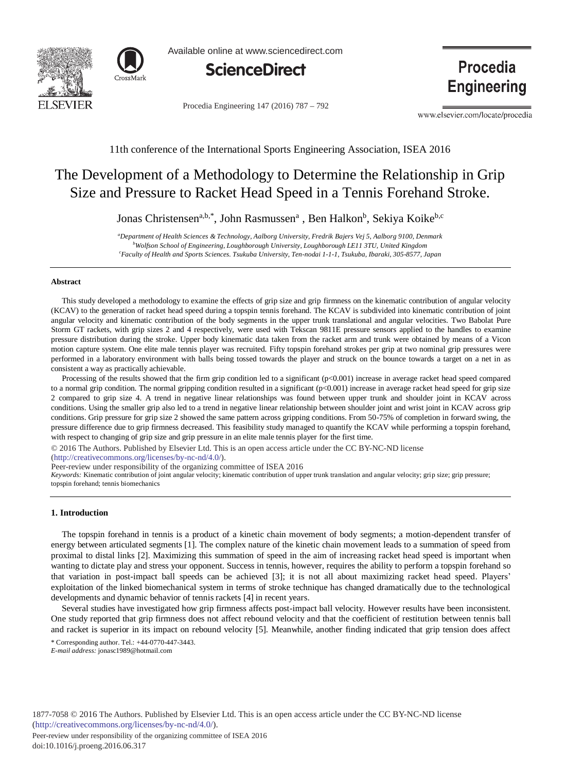



Available online at www.sciencedirect.com



Procedia Engineering 147 (2016) 787 - 792

**Procedia** 

**Engineering** 

www.elsevier.com/locate/procedia

11th conference of the International Sports Engineering Association, ISEA 2016

# The Development of a Methodology to Determine the Relationship in Grip Size and Pressure to Racket Head Speed in a Tennis Forehand Stroke.

Jonas Christensen<sup>a,b,\*</sup>, John Rasmussen<sup>a</sup>, Ben Halkon<sup>b</sup>, Sekiya Koike<sup>b,c</sup>

*a Department of Health Sciences & Technology, Aalborg University, Fredrik Bajers Vej 5, Aalborg 9100, Denmark b Wolfson School of Engineering, Loughborough University, Loughborough LE11 3TU, United Kingdom c Faculty of Health and Sports Sciences. Tsukuba University, Ten-nodai 1-1-1, Tsukuba, Ibaraki, 305-8577, Japan* 

#### **Abstract**

This study developed a methodology to examine the effects of grip size and grip firmness on the kinematic contribution of angular velocity (KCAV) to the generation of racket head speed during a topspin tennis forehand. The KCAV is subdivided into kinematic contribution of joint angular velocity and kinematic contribution of the body segments in the upper trunk translational and angular velocities. Two Babolat Pure Storm GT rackets, with grip sizes 2 and 4 respectively, were used with Tekscan 9811E pressure sensors applied to the handles to examine pressure distribution during the stroke. Upper body kinematic data taken from the racket arm and trunk were obtained by means of a Vicon motion capture system. One elite male tennis player was recruited. Fifty topspin forehand strokes per grip at two nominal grip pressures were performed in a laboratory environment with balls being tossed towards the player and struck on the bounce towards a target on a net in as consistent a way as practically achievable.

Processing of the results showed that the firm grip condition led to a significant (p<0.001) increase in average racket head speed compared to a normal grip condition. The normal gripping condition resulted in a significant  $(p<0.001)$  increase in average racket head speed for grip size 2 compared to grip size 4. A trend in negative linear relationships was found between upper trunk and shoulder joint in KCAV across conditions. Using the smaller grip also led to a trend in negative linear relationship between shoulder joint and wrist joint in KCAV across grip conditions. Grip pressure for grip size 2 showed the same pattern across gripping conditions. From 50-75% of completion in forward swing, the pressure difference due to grip firmness decreased. This feasibility study managed to quantify the KCAV while performing a topspin forehand, with respect to changing of grip size and grip pressure in an elite male tennis player for the first time.

© 2016 The Authors. Published by Elsevier Ltd. This is an open access article under the CC BY-NC-ND license

(http://creativecommons.org/licenses/by-nc-nd/4.0/).

Peer-review under responsibility of the organizing committee of ISEA 2016 Peer-review under responsibility of the organizing committee of ISEA 2016

*Keywords:* Kinematic contribution of joint angular velocity; kinematic contribution of upper trunk translation and angular velocity; grip size; grip pressure; topspin forehand; tennis biomechanics

## **1. Introduction**

The topspin forehand in tennis is a product of a kinetic chain movement of body segments; a motion-dependent transfer of energy between articulated segments [1]. The complex nature of the kinetic chain movement leads to a summation of speed from proximal to distal links [2]. Maximizing this summation of speed in the aim of increasing racket head speed is important when wanting to dictate play and stress your opponent. Success in tennis, however, requires the ability to perform a topspin forehand so that variation in post-impact ball speeds can be achieved [3]; it is not all about maximizing racket head speed. Players' exploitation of the linked biomechanical system in terms of stroke technique has changed dramatically due to the technological developments and dynamic behavior of tennis rackets [4] in recent years.

Several studies have investigated how grip firmness affects post-impact ball velocity. However results have been inconsistent. One study reported that grip firmness does not affect rebound velocity and that the coefficient of restitution between tennis ball and racket is superior in its impact on rebound velocity [5]. Meanwhile, another finding indicated that grip tension does affect

\* Corresponding author. Tel.: +44-0770-447-3443.

*E-mail address:* jonasc1989@hotmail.com

1877-7058 © 2016 The Authors. Published by Elsevier Ltd. This is an open access article under the CC BY-NC-ND license (http://creativecommons.org/licenses/by-nc-nd/4.0/).

Peer-review under responsibility of the organizing committee of ISEA 2016 doi: 10.1016/j.proeng.2016.06.317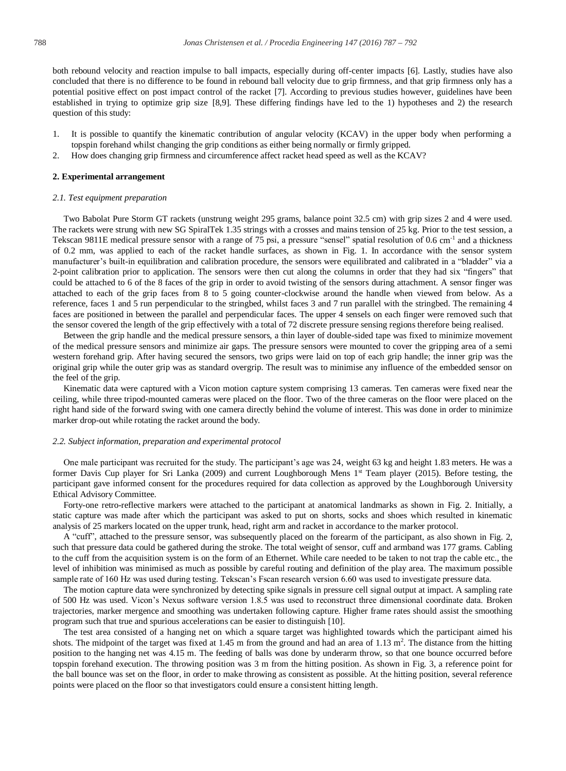both rebound velocity and reaction impulse to ball impacts, especially during off-center impacts [6]. Lastly, studies have also concluded that there is no difference to be found in rebound ball velocity due to grip firmness, and that grip firmness only has a potential positive effect on post impact control of the racket [7]. According to previous studies however, guidelines have been established in trying to optimize grip size [8,9]. These differing findings have led to the 1) hypotheses and 2) the research question of this study:

- 1. It is possible to quantify the kinematic contribution of angular velocity (KCAV) in the upper body when performing a topspin forehand whilst changing the grip conditions as either being normally or firmly gripped.
- 2. How does changing grip firmness and circumference affect racket head speed as well as the KCAV?

#### **2. Experimental arrangement**

#### *2.1. Test equipment preparation*

Two Babolat Pure Storm GT rackets (unstrung weight 295 grams, balance point 32.5 cm) with grip sizes 2 and 4 were used. The rackets were strung with new SG SpiralTek 1.35 strings with a crosses and mains tension of 25 kg. Prior to the test session, a Tekscan 9811E medical pressure sensor with a range of 75 psi, a pressure "sensel" spatial resolution of 0.6 cm<sup>-1</sup> and a thickness of 0.2 mm, was applied to each of the racket handle surfaces, as shown in Fig. 1. In accordance with the sensor system manufacturer's built-in equilibration and calibration procedure, the sensors were equilibrated and calibrated in a "bladder" via a 2-point calibration prior to application. The sensors were then cut along the columns in order that they had six "fingers" that could be attached to 6 of the 8 faces of the grip in order to avoid twisting of the sensors during attachment. A sensor finger was attached to each of the grip faces from 8 to 5 going counter-clockwise around the handle when viewed from below. As a reference, faces 1 and 5 run perpendicular to the stringbed, whilst faces 3 and 7 run parallel with the stringbed. The remaining 4 faces are positioned in between the parallel and perpendicular faces. The upper 4 sensels on each finger were removed such that the sensor covered the length of the grip effectively with a total of 72 discrete pressure sensing regions therefore being realised.

Between the grip handle and the medical pressure sensors, a thin layer of double-sided tape was fixed to minimize movement of the medical pressure sensors and minimize air gaps. The pressure sensors were mounted to cover the gripping area of a semi western forehand grip. After having secured the sensors, two grips were laid on top of each grip handle; the inner grip was the original grip while the outer grip was as standard overgrip. The result was to minimise any influence of the embedded sensor on the feel of the grip.

Kinematic data were captured with a Vicon motion capture system comprising 13 cameras. Ten cameras were fixed near the ceiling, while three tripod-mounted cameras were placed on the floor. Two of the three cameras on the floor were placed on the right hand side of the forward swing with one camera directly behind the volume of interest. This was done in order to minimize marker drop-out while rotating the racket around the body.

#### *2.2. Subject information, preparation and experimental protocol*

One male participant was recruited for the study. The participant's age was 24, weight 63 kg and height 1.83 meters. He was a former Davis Cup player for Sri Lanka (2009) and current Loughborough Mens 1<sup>st</sup> Team player (2015). Before testing, the participant gave informed consent for the procedures required for data collection as approved by the Loughborough University Ethical Advisory Committee.

Forty-one retro-reflective markers were attached to the participant at anatomical landmarks as shown in Fig. 2. Initially, a static capture was made after which the participant was asked to put on shorts, socks and shoes which resulted in kinematic analysis of 25 markers located on the upper trunk, head, right arm and racket in accordance to the marker protocol.

A "cuff", attached to the pressure sensor, was subsequently placed on the forearm of the participant, as also shown in Fig. 2, such that pressure data could be gathered during the stroke. The total weight of sensor, cuff and armband was 177 grams. Cabling to the cuff from the acquisition system is on the form of an Ethernet. While care needed to be taken to not trap the cable etc., the level of inhibition was minimised as much as possible by careful routing and definition of the play area. The maximum possible sample rate of 160 Hz was used during testing. Tekscan's Fscan research version 6.60 was used to investigate pressure data.

The motion capture data were synchronized by detecting spike signals in pressure cell signal output at impact. A sampling rate of 500 Hz was used. Vicon's Nexus software version 1.8.5 was used to reconstruct three dimensional coordinate data. Broken trajectories, marker mergence and smoothing was undertaken following capture. Higher frame rates should assist the smoothing program such that true and spurious accelerations can be easier to distinguish [10].

The test area consisted of a hanging net on which a square target was highlighted towards which the participant aimed his shots. The midpoint of the target was fixed at  $1.45$  m from the ground and had an area of  $1.13$  m<sup>2</sup>. The distance from the hitting position to the hanging net was 4.15 m. The feeding of balls was done by underarm throw, so that one bounce occurred before topspin forehand execution. The throwing position was 3 m from the hitting position. As shown in Fig. 3, a reference point for the ball bounce was set on the floor, in order to make throwing as consistent as possible. At the hitting position, several reference points were placed on the floor so that investigators could ensure a consistent hitting length.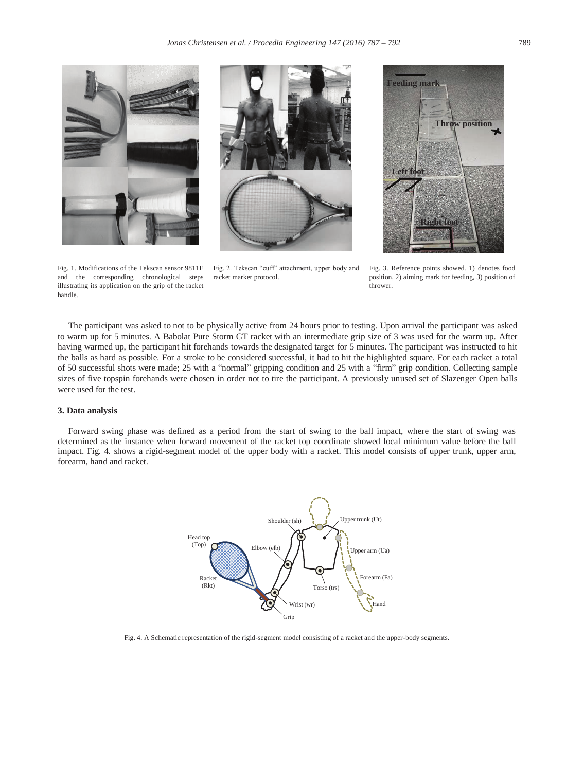





and the corresponding chronological steps illustrating its application on the grip of the racket handle.

Fig. 1. Modifications of the Tekscan sensor 9811E Fig. 2. Tekscan "cuff" attachment, upper body and racket marker protocol.

Fig. 3. Reference points showed. 1) denotes food position, 2) aiming mark for feeding, 3) position of thrower.

The participant was asked to not to be physically active from 24 hours prior to testing. Upon arrival the participant was asked to warm up for 5 minutes. A Babolat Pure Storm GT racket with an intermediate grip size of 3 was used for the warm up. After having warmed up, the participant hit forehands towards the designated target for 5 minutes. The participant was instructed to hit the balls as hard as possible. For a stroke to be considered successful, it had to hit the highlighted square. For each racket a total of 50 successful shots were made; 25 with a "normal" gripping condition and 25 with a "firm" grip condition. Collecting sample sizes of five topspin forehands were chosen in order not to tire the participant. A previously unused set of Slazenger Open balls were used for the test.

## **3. Data analysis**

Forward swing phase was defined as a period from the start of swing to the ball impact, where the start of swing was determined as the instance when forward movement of the racket top coordinate showed local minimum value before the ball impact. Fig. 4. shows a rigid-segment model of the upper body with a racket. This model consists of upper trunk, upper arm, forearm, hand and racket.



Fig. 4. A Schematic representation of the rigid-segment model consisting of a racket and the upper-body segments.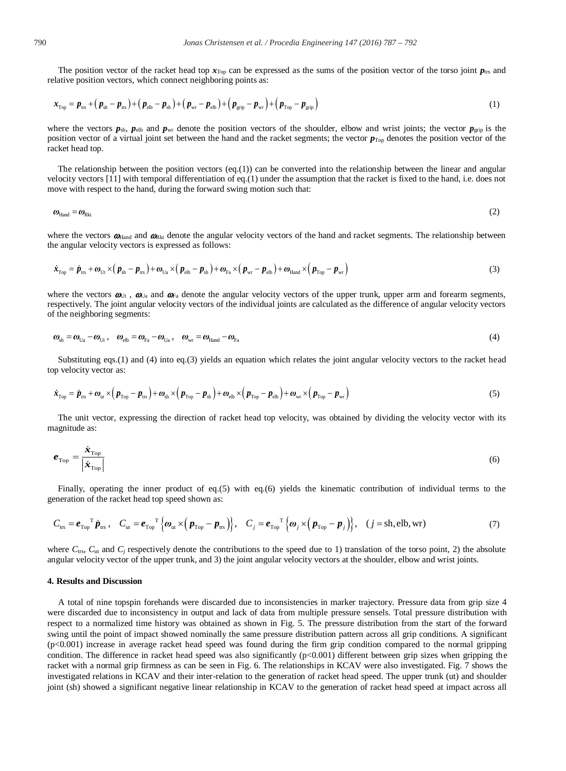The position vector of the racket head top  $x_{Top}$  can be expressed as the sums of the position vector of the torso joint  $p_{tr}$  and relative position vectors, which connect neighboring points as:

$$
\boldsymbol{x}_{\text{Top}} = \boldsymbol{p}_{\text{ts}} + (\boldsymbol{p}_{\text{sh}} - \boldsymbol{p}_{\text{ts}}) + (\boldsymbol{p}_{\text{elb}} - \boldsymbol{p}_{\text{sh}}) + (\boldsymbol{p}_{\text{wr}} - \boldsymbol{p}_{\text{elb}}) + (\boldsymbol{p}_{\text{grip}} - \boldsymbol{p}_{\text{wr}}) + (\boldsymbol{p}_{\text{Top}} - \boldsymbol{p}_{\text{grip}})
$$
(1)

where the vectors  $p_{\rm sh}$ ,  $p_{\rm elb}$  and  $p_{\rm wf}$  denote the position vectors of the shoulder, elbow and wrist joints; the vector  $p_{\rm grip}$  is the position vector of a virtual joint set between the hand and the racket segments; the vector  $p_{\text{Top}}$  denotes the position vector of the racket head top.

The relationship between the position vectors (eq.(1)) can be converted into the relationship between the linear and angular velocity vectors [11] with temporal differentiation of eq.(1) under the assumption that the racket is fixed to the hand, i.e. does not move with respect to the hand, during the forward swing motion such that:

$$
\boldsymbol{\omega}_{\text{Hand}} = \boldsymbol{\omega}_{\text{Rkt}} \tag{2}
$$

where the vectors  $\omega_{\text{Hand}}$  and  $\omega_{\text{Rkt}}$  denote the angular velocity vectors of the hand and racket segments. The relationship between the angular velocity vectors is expressed as follows:

$$
\dot{\boldsymbol{x}}_{\text{Top}} = \dot{\boldsymbol{p}}_{\text{us}} + \boldsymbol{\omega}_{\text{U}_1} \times (\boldsymbol{p}_{\text{sh}} - \boldsymbol{p}_{\text{us}}) + \boldsymbol{\omega}_{\text{U}_2} \times (\boldsymbol{p}_{\text{elb}} - \boldsymbol{p}_{\text{sh}}) + \boldsymbol{\omega}_{\text{Pa}} \times (\boldsymbol{p}_{\text{wr}} - \boldsymbol{p}_{\text{elb}}) + \boldsymbol{\omega}_{\text{Hand}} \times (\boldsymbol{p}_{\text{Top}} - \boldsymbol{p}_{\text{wr}})
$$
(3)

where the vectors  $\boldsymbol{\omega}_{\text{U}_1}$ ,  $\boldsymbol{\omega}_{\text{U}_2}$  and  $\boldsymbol{\omega}_{\text{F}_3}$  denote the angular velocity vectors of the upper trunk, upper arm and forearm segments, respectively. The joint angular velocity vectors of the individual joints are calculated as the difference of angular velocity vectors of the neighboring segments:

$$
\boldsymbol{\omega}_{sh} = \boldsymbol{\omega}_{Ua} - \boldsymbol{\omega}_{Ut}, \quad \boldsymbol{\omega}_{elb} = \boldsymbol{\omega}_{Fa} - \boldsymbol{\omega}_{Ua}, \quad \boldsymbol{\omega}_{wr} = \boldsymbol{\omega}_{Hand} - \boldsymbol{\omega}_{Fa}
$$
\n
$$
\tag{4}
$$

Substituting eqs.(1) and (4) into eq.(3) yields an equation which relates the joint angular velocity vectors to the racket head top velocity vector as:

$$
\dot{\boldsymbol{x}}_{\text{Top}} = \dot{\boldsymbol{p}}_{\text{trs}} + \boldsymbol{\omega}_{\text{ut}} \times (\boldsymbol{p}_{\text{Top}} - \boldsymbol{p}_{\text{trs}}) + \boldsymbol{\omega}_{\text{sh}} \times (\boldsymbol{p}_{\text{Top}} - \boldsymbol{p}_{\text{sh}}) + \boldsymbol{\omega}_{\text{elb}} \times (\boldsymbol{p}_{\text{Top}} - \boldsymbol{p}_{\text{elb}}) + \boldsymbol{\omega}_{\text{wr}} \times (\boldsymbol{p}_{\text{Top}} - \boldsymbol{p}_{\text{wr}})
$$
\n(5)

The unit vector, expressing the direction of racket head top velocity, was obtained by dividing the velocity vector with its magnitude as:

$$
e_{\text{Top}} = \frac{\dot{x}_{\text{Top}}}{|\dot{x}_{\text{Top}}|}
$$
(6)

Finally, operating the inner product of eq.(5) with eq.(6) yields the kinematic contribution of individual terms to the generation of the racket head top speed shown as:

$$
C_{\text{ts}} = \boldsymbol{e}_{\text{Top}}^T \boldsymbol{p}_{\text{ts}} , \quad C_{\text{ut}} = \boldsymbol{e}_{\text{Top}}^T \left\{ \boldsymbol{\omega}_{\text{ut}} \times (\boldsymbol{p}_{\text{Top}} - \boldsymbol{p}_{\text{ts}}) \right\} , \quad C_j = \boldsymbol{e}_{\text{Top}}^T \left\{ \boldsymbol{\omega}_j \times (\boldsymbol{p}_{\text{Top}} - \boldsymbol{p}_j) \right\} , \quad (j = \text{sh}, \text{elb}, \text{wr})
$$
(7)

where  $C_{trs}$ ,  $C_{ut}$  and  $C_i$  respectively denote the contributions to the speed due to 1) translation of the torso point, 2) the absolute angular velocity vector of the upper trunk, and 3) the joint angular velocity vectors at the shoulder, elbow and wrist joints.

## **4. Results and Discussion**

A total of nine topspin forehands were discarded due to inconsistencies in marker trajectory. Pressure data from grip size 4 were discarded due to inconsistency in output and lack of data from multiple pressure sensels. Total pressure distribution with respect to a normalized time history was obtained as shown in Fig. 5. The pressure distribution from the start of the forward swing until the point of impact showed nominally the same pressure distribution pattern across all grip conditions. A significant (p<0.001) increase in average racket head speed was found during the firm grip condition compared to the normal gripping condition. The difference in racket head speed was also significantly  $(p<0.001)$  different between grip sizes when gripping the racket with a normal grip firmness as can be seen in Fig. 6. The relationships in KCAV were also investigated. Fig. 7 shows the investigated relations in KCAV and their inter-relation to the generation of racket head speed. The upper trunk (ut) and shoulder joint (sh) showed a significant negative linear relationship in KCAV to the generation of racket head speed at impact across all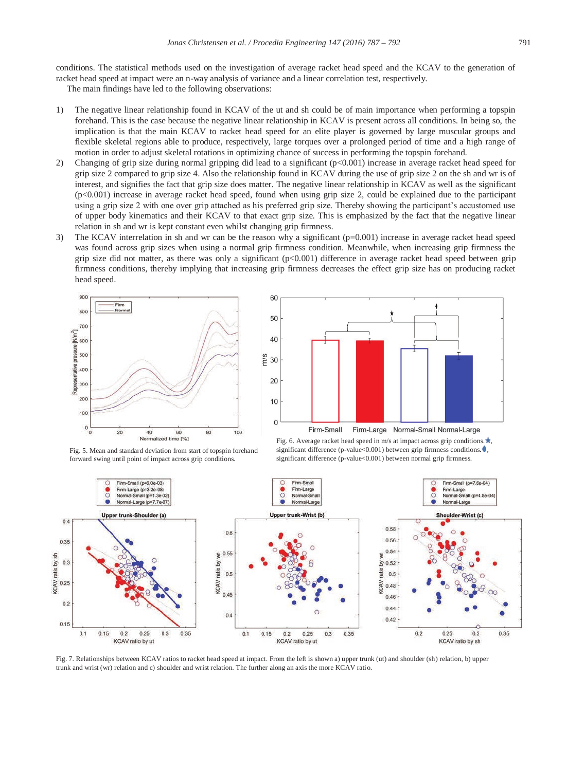conditions. The statistical methods used on the investigation of average racket head speed and the KCAV to the generation of racket head speed at impact were an n-way analysis of variance and a linear correlation test, respectively.

The main findings have led to the following observations:

- 1) The negative linear relationship found in KCAV of the ut and sh could be of main importance when performing a topspin forehand. This is the case because the negative linear relationship in KCAV is present across all conditions. In being so, the implication is that the main KCAV to racket head speed for an elite player is governed by large muscular groups and flexible skeletal regions able to produce, respectively, large torques over a prolonged period of time and a high range of motion in order to adjust skeletal rotations in optimizing chance of success in performing the topspin forehand.
- 2) Changing of grip size during normal gripping did lead to a significant  $(p<0.001)$  increase in average racket head speed for grip size 2 compared to grip size 4. Also the relationship found in KCAV during the use of grip size 2 on the sh and wr is of interest, and signifies the fact that grip size does matter. The negative linear relationship in KCAV as well as the significant (p<0.001) increase in average racket head speed, found when using grip size 2, could be explained due to the participant using a grip size 2 with one over grip attached as his preferred grip size. Thereby showing the participant's accustomed use of upper body kinematics and their KCAV to that exact grip size. This is emphasized by the fact that the negative linear relation in sh and wr is kept constant even whilst changing grip firmness.
- 3) The KCAV interrelation in sh and wr can be the reason why a significant (p=0.001) increase in average racket head speed was found across grip sizes when using a normal grip firmness condition. Meanwhile, when increasing grip firmness the grip size did not matter, as there was only a significant (p<0.001) difference in average racket head speed between grip firmness conditions, thereby implying that increasing grip firmness decreases the effect grip size has on producing racket head speed.





Fig. 5. Mean and standard deviation from start of topspin forehand forward swing until point of impact across grip conditions.





Fig. 7. Relationships between KCAV ratios to racket head speed at impact. From the left is shown a) upper trunk (ut) and shoulder (sh) relation, b) upper trunk and wrist (wr) relation and c) shoulder and wrist relation. The further along an axis the more KCAV ratio.